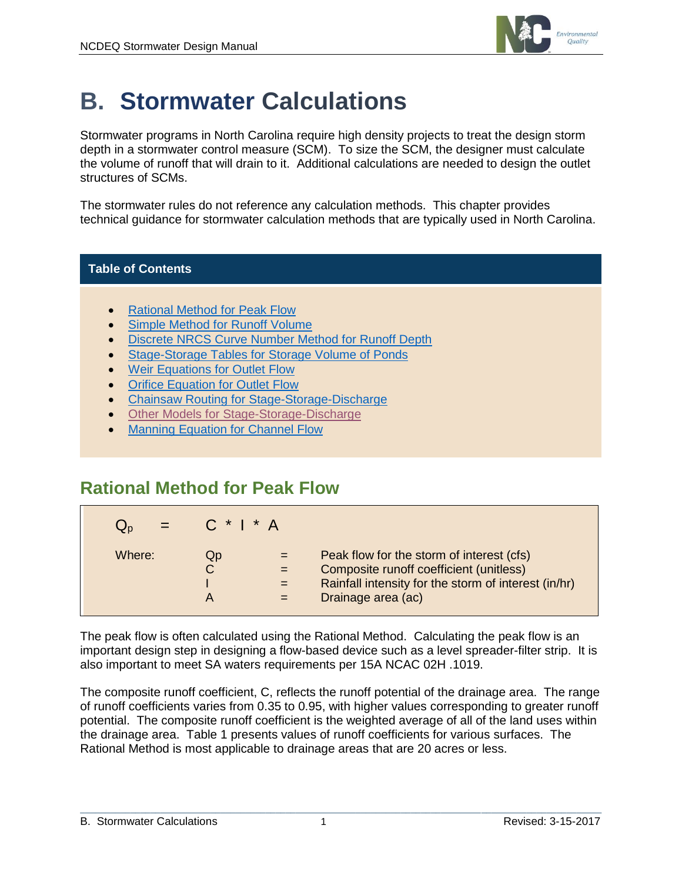

# **B. Stormwater Calculations**

Stormwater programs in North Carolina require high density projects to treat the design storm depth in a stormwater control measure (SCM). To size the SCM, the designer must calculate the volume of runoff that will drain to it. Additional calculations are needed to design the outlet structures of SCMs.

The stormwater rules do not reference any calculation methods. This chapter provides technical guidance for stormwater calculation methods that are typically used in North Carolina.

### **Table of Contents**

- [Rational Method for Peak Flow](#page-0-0)
- **[Simple Method for Runoff Volume](#page-1-0)**
- [Discrete NRCS Curve Number Method for Runoff Depth](#page-2-0)
- [Stage-Storage Tables for Storage Volume of Ponds](#page-6-0)
- [Weir Equations](#page-6-1) for Outlet Flow
- **[Orifice Equation for Outlet Flow](#page-8-0)**
- Chainsaw Routing [for Stage-Storage-Discharge](#page-9-0)
- [Other Models for Stage-Storage-Discharge](#page-10-0)
- [Manning Equation for Channel Flow](#page-10-1)

### <span id="page-0-0"></span>**Rational Method for Peak Flow**

| $=$    | $C^*$   $^*$ A |                                                                                                                                                                    |
|--------|----------------|--------------------------------------------------------------------------------------------------------------------------------------------------------------------|
| Where: | QD<br>А        | Peak flow for the storm of interest (cfs)<br>Composite runoff coefficient (unitless)<br>Rainfall intensity for the storm of interest (in/hr)<br>Drainage area (ac) |

The peak flow is often calculated using the Rational Method. Calculating the peak flow is an important design step in designing a flow-based device such as a level spreader-filter strip. It is also important to meet SA waters requirements per 15A NCAC 02H .1019.

The composite runoff coefficient, C, reflects the runoff potential of the drainage area. The range of runoff coefficients varies from 0.35 to 0.95, with higher values corresponding to greater runoff potential. The composite runoff coefficient is the weighted average of all of the land uses within the drainage area. Table 1 presents values of runoff coefficients for various surfaces. The Rational Method is most applicable to drainage areas that are 20 acres or less.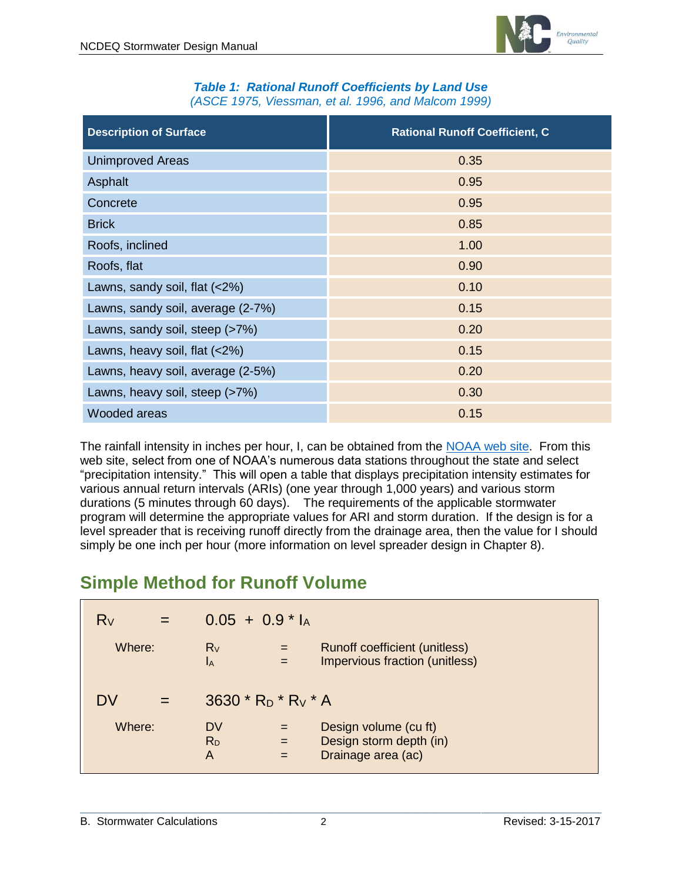

#### *Table 1: Rational Runoff Coefficients by Land Use (ASCE 1975, Viessman, et al. 1996, and Malcom 1999)*

| <b>Description of Surface</b>     | <b>Rational Runoff Coefficient, C</b> |
|-----------------------------------|---------------------------------------|
| <b>Unimproved Areas</b>           | 0.35                                  |
| Asphalt                           | 0.95                                  |
| Concrete                          | 0.95                                  |
| <b>Brick</b>                      | 0.85                                  |
| Roofs, inclined                   | 1.00                                  |
| Roofs, flat                       | 0.90                                  |
| Lawns, sandy soil, flat (<2%)     | 0.10                                  |
| Lawns, sandy soil, average (2-7%) | 0.15                                  |
| Lawns, sandy soil, steep (>7%)    | 0.20                                  |
| Lawns, heavy soil, flat $(<2\%)$  | 0.15                                  |
| Lawns, heavy soil, average (2-5%) | 0.20                                  |
| Lawns, heavy soil, steep (>7%)    | 0.30                                  |
| Wooded areas                      | 0.15                                  |

The rainfall intensity in inches per hour, I, can be obtained from the [NOAA web site.](http://hdsc.nws.noaa.gov/hdsc/pfds/) From this web site, select from one of NOAA's numerous data stations throughout the state and select "precipitation intensity." This will open a table that displays precipitation intensity estimates for various annual return intervals (ARIs) (one year through 1,000 years) and various storm durations (5 minutes through 60 days). The requirements of the applicable stormwater program will determine the appropriate values for ARI and storm duration. If the design is for a level spreader that is receiving runoff directly from the drainage area, then the value for I should simply be one inch per hour (more information on level spreader design in Chapter 8).

# <span id="page-1-0"></span>**Simple Method for Runoff Volume**

| $R_V$<br>$=$ | $0.05 + 0.9$ <sup>*</sup> l <sub>A</sub>         |            |                                                                        |
|--------------|--------------------------------------------------|------------|------------------------------------------------------------------------|
| Where:       | $R_V$<br>$I_A$                                   | $=$        | Runoff coefficient (unitless)<br>Impervious fraction (unitless)        |
| DV           | 3630 $*$ R <sub>D</sub> $*$ R <sub>V</sub> $*$ A |            |                                                                        |
| Where:       | DV<br>R <sub>D</sub><br>A                        | $=$<br>$=$ | Design volume (cu ft)<br>Design storm depth (in)<br>Drainage area (ac) |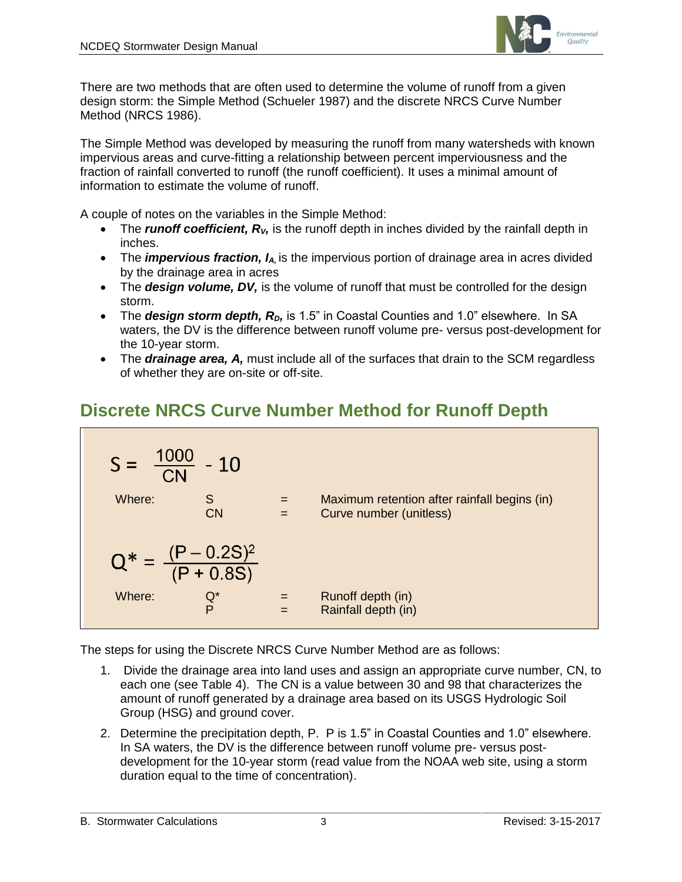

There are two methods that are often used to determine the volume of runoff from a given design storm: the Simple Method (Schueler 1987) and the discrete NRCS Curve Number Method (NRCS 1986).

The Simple Method was developed by measuring the runoff from many watersheds with known impervious areas and curve-fitting a relationship between percent imperviousness and the fraction of rainfall converted to runoff (the runoff coefficient). It uses a minimal amount of information to estimate the volume of runoff.

A couple of notes on the variables in the Simple Method:

- The *runoff coefficient, R<sub>V</sub>*, is the runoff depth in inches divided by the rainfall depth in inches.
- The *impervious fraction, I<sub>A</sub>*, is the impervious portion of drainage area in acres divided by the drainage area in acres
- The **design volume, DV**, is the volume of runoff that must be controlled for the design storm.
- The **design storm depth, R**<sub>D</sub>, is 1.5" in Coastal Counties and 1.0" elsewhere. In SA waters, the DV is the difference between runoff volume pre- versus post-development for the 10-year storm.
- The *drainage area, A,* must include all of the surfaces that drain to the SCM regardless of whether they are on-site or off-site.

# <span id="page-2-0"></span>**Discrete NRCS Curve Number Method for Runoff Depth**



The steps for using the Discrete NRCS Curve Number Method are as follows:

- 1. Divide the drainage area into land uses and assign an appropriate curve number, CN, to each one (see Table 4). The CN is a value between 30 and 98 that characterizes the amount of runoff generated by a drainage area based on its USGS Hydrologic Soil Group (HSG) and ground cover.
- 2. Determine the precipitation depth, P. P is 1.5" in Coastal Counties and 1.0" elsewhere. In SA waters, the DV is the difference between runoff volume pre- versus postdevelopment for the 10-year storm (read value from the NOAA web site, using a storm duration equal to the time of concentration).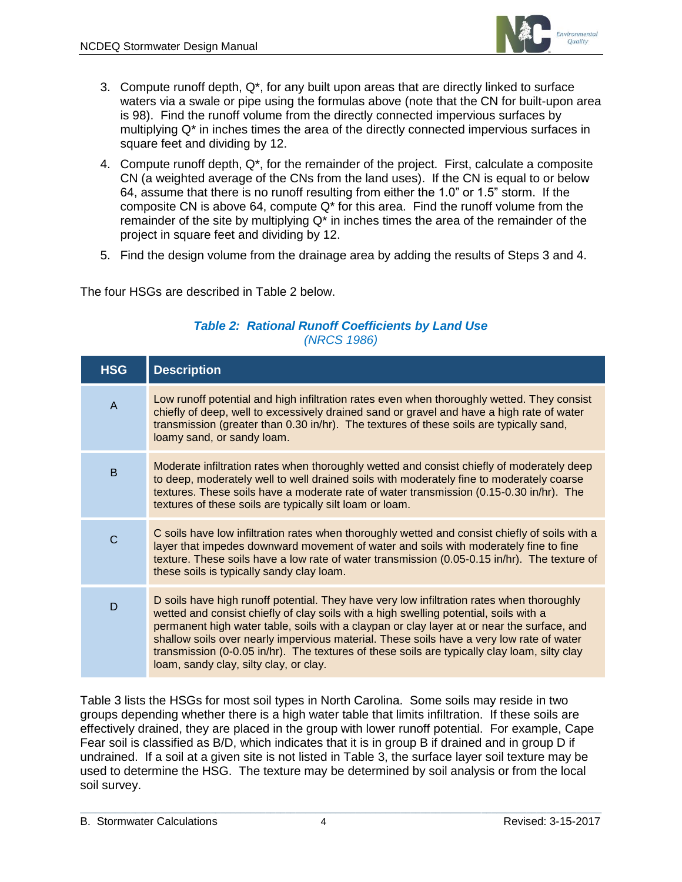

- 3. Compute runoff depth,  $Q^*$ , for any built upon areas that are directly linked to surface waters via a swale or pipe using the formulas above (note that the CN for built-upon area is 98). Find the runoff volume from the directly connected impervious surfaces by multiplying Q\* in inches times the area of the directly connected impervious surfaces in square feet and dividing by 12.
- 4. Compute runoff depth, Q\*, for the remainder of the project. First, calculate a composite CN (a weighted average of the CNs from the land uses). If the CN is equal to or below 64, assume that there is no runoff resulting from either the 1.0" or 1.5" storm. If the composite CN is above 64, compute  $Q^*$  for this area. Find the runoff volume from the remainder of the site by multiplying  $Q^*$  in inches times the area of the remainder of the project in square feet and dividing by 12.
- 5. Find the design volume from the drainage area by adding the results of Steps 3 and 4.

The four HSGs are described in Table 2 below.

| <b>HSG</b>     | <b>Description</b>                                                                                                                                                                                                                                                                                                                                                                                                                                                                                                     |
|----------------|------------------------------------------------------------------------------------------------------------------------------------------------------------------------------------------------------------------------------------------------------------------------------------------------------------------------------------------------------------------------------------------------------------------------------------------------------------------------------------------------------------------------|
| $\overline{A}$ | Low runoff potential and high infiltration rates even when thoroughly wetted. They consist<br>chiefly of deep, well to excessively drained sand or gravel and have a high rate of water<br>transmission (greater than 0.30 in/hr). The textures of these soils are typically sand,<br>loamy sand, or sandy loam.                                                                                                                                                                                                       |
| B              | Moderate infiltration rates when thoroughly wetted and consist chiefly of moderately deep<br>to deep, moderately well to well drained soils with moderately fine to moderately coarse<br>textures. These soils have a moderate rate of water transmission (0.15-0.30 in/hr). The<br>textures of these soils are typically silt loam or loam.                                                                                                                                                                           |
| C              | C soils have low infiltration rates when thoroughly wetted and consist chiefly of soils with a<br>layer that impedes downward movement of water and soils with moderately fine to fine<br>texture. These soils have a low rate of water transmission (0.05-0.15 in/hr). The texture of<br>these soils is typically sandy clay loam.                                                                                                                                                                                    |
| D              | D soils have high runoff potential. They have very low infiltration rates when thoroughly<br>wetted and consist chiefly of clay soils with a high swelling potential, soils with a<br>permanent high water table, soils with a claypan or clay layer at or near the surface, and<br>shallow soils over nearly impervious material. These soils have a very low rate of water<br>transmission (0-0.05 in/hr). The textures of these soils are typically clay loam, silty clay<br>loam, sandy clay, silty clay, or clay. |

### *Table 2: Rational Runoff Coefficients by Land Use (NRCS 1986)*

Table 3 lists the HSGs for most soil types in North Carolina. Some soils may reside in two groups depending whether there is a high water table that limits infiltration. If these soils are effectively drained, they are placed in the group with lower runoff potential. For example, Cape Fear soil is classified as B/D, which indicates that it is in group B if drained and in group D if undrained. If a soil at a given site is not listed in Table 3, the surface layer soil texture may be used to determine the HSG. The texture may be determined by soil analysis or from the local soil survey.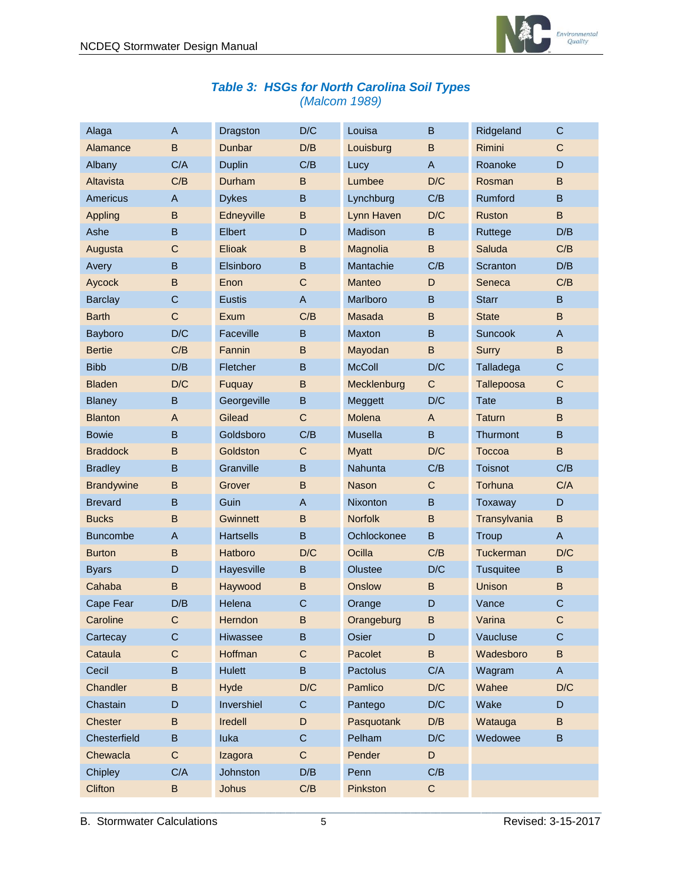

|  |               | <b>Table 3: HSGs for North Carolina Soil Types</b> |  |
|--|---------------|----------------------------------------------------|--|
|  | (Malcom 1989) |                                                    |  |

| Alaga             | $\mathsf{A}$ | Dragston         | D/C          | Louisa          | B           | Ridgeland        | $\mathsf C$  |
|-------------------|--------------|------------------|--------------|-----------------|-------------|------------------|--------------|
| Alamance          | B            | Dunbar           | D/B          | Louisburg       | B           | Rimini           | $\mathsf{C}$ |
| Albany            | C/A          | <b>Duplin</b>    | C/B          | Lucy            | A           | Roanoke          | D            |
| Altavista         | C/B          | Durham           | B            | Lumbee          | D/C         | Rosman           | B            |
| Americus          | A            | <b>Dykes</b>     | B            | Lynchburg       | C/B         | Rumford          | B            |
| <b>Appling</b>    | B            | Edneyville       | B            | Lynn Haven      | D/C         | Ruston           | B            |
| Ashe              | B            | Elbert           | D            | <b>Madison</b>  | B           | Ruttege          | D/B          |
| Augusta           | $\mathsf{C}$ | Elioak           | B            | Magnolia        | B           | Saluda           | C/B          |
| Avery             | B            | Elsinboro        | B            | Mantachie       | C/B         | Scranton         | D/B          |
| Aycock            | $\sf B$      | Enon             | $\mathsf{C}$ | <b>Manteo</b>   | D           | Seneca           | C/B          |
| <b>Barclay</b>    | $\mathsf{C}$ | Eustis           | A            | Marlboro        | B           | <b>Starr</b>     | B            |
| <b>Barth</b>      | $\mathsf{C}$ | Exum             | C/B          | Masada          | B           | <b>State</b>     | B            |
| Bayboro           | D/C          | Faceville        | $\sf B$      | Maxton          | B           | <b>Suncook</b>   | $\mathsf{A}$ |
| <b>Bertie</b>     | C/B          | Fannin           | B            | Mayodan         | B           | Surry            | B            |
| <b>Bibb</b>       | D/B          | Fletcher         | B            | <b>McColl</b>   | D/C         | Talladega        | C            |
| <b>Bladen</b>     | D/C          | Fuquay           | B            | Mecklenburg     | C           | Tallepoosa       | C            |
| <b>Blaney</b>     | B            | Georgeville      | B            | Meggett         | D/C         | <b>Tate</b>      | B            |
| <b>Blanton</b>    | A            | Gilead           | $\mathsf{C}$ | Molena          | A           | <b>Taturn</b>    | B            |
| <b>Bowie</b>      | B            | Goldsboro        | C/B          | Musella         | B           | <b>Thurmont</b>  | B            |
| <b>Braddock</b>   | B            | Goldston         | $\mathsf C$  | <b>Myatt</b>    | D/C         | Toccoa           | B            |
| <b>Bradley</b>    | B            | Granville        | B            | Nahunta         | C/B         | Toisnot          | C/B          |
| <b>Brandywine</b> | B            | Grover           | B            | <b>Nason</b>    | $\mathsf C$ | Torhuna          | C/A          |
| <b>Brevard</b>    | B            | Guin             | A            | <b>Nixonton</b> | B           | Toxaway          | D            |
| <b>Bucks</b>      | B            | Gwinnett         | B            | <b>Norfolk</b>  | B           | Transylvania     | B            |
| <b>Buncombe</b>   | $\mathsf{A}$ | <b>Hartsells</b> | B            | Ochlockonee     | B           | Troup            | $\mathsf{A}$ |
| <b>Burton</b>     | B            | Hatboro          | D/C          | Ocilla          | C/B         | Tuckerman        | D/C          |
| <b>Byars</b>      | D            | Hayesville       | B            | Olustee         | D/C         | <b>Tusquitee</b> | B            |
| Cahaba            | B            | Haywood          | B            | Onslow          | В           | <b>Unison</b>    | B            |
| Cape Fear         | D/B          | Helena           | $\mathsf{C}$ | Orange          | D           | Vance            | $\mathsf{C}$ |
| Caroline          | C.           | Herndon          | B            | Orangeburg      | B           | Varina           | C.           |
| Cartecay          | C            | <b>Hiwassee</b>  | B            | Osier           | D           | Vaucluse         | C            |
| Cataula           | $\mathsf C$  | Hoffman          | $\mathsf C$  | Pacolet         | B           | Wadesboro        | B            |
| Cecil             | B            | <b>Hulett</b>    | B            | Pactolus        | C/A         | Wagram           | $\mathsf{A}$ |
| Chandler          | B            | Hyde             | D/C          | Pamlico         | D/C         | Wahee            | D/C          |
| Chastain          | D            | Invershiel       | C            | Pantego         | D/C         | Wake             | D            |
| <b>Chester</b>    | B            | <b>Iredell</b>   | D            | Pasquotank      | D/B         | Watauga          | B            |
| Chesterfield      | B.           | luka             | $\mathsf C$  | Pelham          | D/C         | Wedowee          | B            |
| Chewacla          | $\mathsf C$  | Izagora          | $\mathsf C$  | Pender          | D           |                  |              |
| Chipley           | C/A          | Johnston         | D/B          | Penn            | C/B         |                  |              |
| Clifton           | B            | <b>Johus</b>     | C/B          | Pinkston        | $\mathsf C$ |                  |              |

 $\mathcal{L}_\mathcal{L} = \{ \mathcal{L}_\mathcal{L} = \{ \mathcal{L}_\mathcal{L} = \{ \mathcal{L}_\mathcal{L} = \{ \mathcal{L}_\mathcal{L} = \{ \mathcal{L}_\mathcal{L} = \{ \mathcal{L}_\mathcal{L} = \{ \mathcal{L}_\mathcal{L} = \{ \mathcal{L}_\mathcal{L} = \{ \mathcal{L}_\mathcal{L} = \{ \mathcal{L}_\mathcal{L} = \{ \mathcal{L}_\mathcal{L} = \{ \mathcal{L}_\mathcal{L} = \{ \mathcal{L}_\mathcal{L} = \{ \mathcal{L}_\mathcal{$ B. Stormwater Calculations 5 Revised: 3-15-2017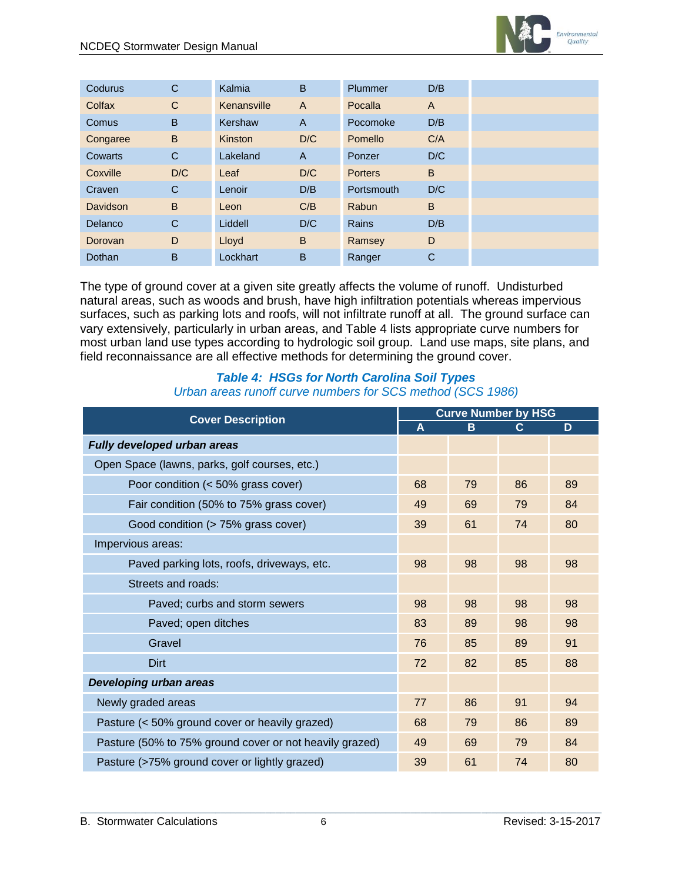

| Codurus        | C   | Kalmia      | B            | Plummer        | D/B            |  |
|----------------|-----|-------------|--------------|----------------|----------------|--|
| Colfax         | C   | Kenansville | A            | Pocalla        | $\overline{A}$ |  |
| <b>Comus</b>   | B   | Kershaw     | $\mathsf{A}$ | Pocomoke       | D/B            |  |
| Congaree       | B   | Kinston     | D/C          | Pomello        | C/A            |  |
| Cowarts        | C   | Lakeland    | $\mathsf{A}$ | Ponzer         | D/C            |  |
| Coxville       | D/C | Leaf        | D/C          | <b>Porters</b> | B              |  |
| Craven         | C   | Lenoir      | D/B          | Portsmouth     | D/C            |  |
| Davidson       | B   | Leon        | C/B          | Rabun          | B              |  |
| <b>Delanco</b> | C   | Liddell     | D/C          | Rains          | D/B            |  |
| Dorovan        | D   | Lloyd       | B            | Ramsey         | D              |  |
| Dothan         | B   | Lockhart    | B            | Ranger         | C              |  |

The type of ground cover at a given site greatly affects the volume of runoff. Undisturbed natural areas, such as woods and brush, have high infiltration potentials whereas impervious surfaces, such as parking lots and roofs, will not infiltrate runoff at all. The ground surface can vary extensively, particularly in urban areas, and Table 4 lists appropriate curve numbers for most urban land use types according to hydrologic soil group. Land use maps, site plans, and field reconnaissance are all effective methods for determining the ground cover.

#### *Table 4: HSGs for North Carolina Soil Types Urban areas runoff curve numbers for SCS method (SCS 1986)*

| <b>Cover Description</b>                                |    | <b>Curve Number by HSG</b> |    |    |  |  |
|---------------------------------------------------------|----|----------------------------|----|----|--|--|
|                                                         | A  | B                          | C  | D  |  |  |
| Fully developed urban areas                             |    |                            |    |    |  |  |
| Open Space (lawns, parks, golf courses, etc.)           |    |                            |    |    |  |  |
| Poor condition (< 50% grass cover)                      | 68 | 79                         | 86 | 89 |  |  |
| Fair condition (50% to 75% grass cover)                 | 49 | 69                         | 79 | 84 |  |  |
| Good condition (> 75% grass cover)                      | 39 | 61                         | 74 | 80 |  |  |
| Impervious areas:                                       |    |                            |    |    |  |  |
| Paved parking lots, roofs, driveways, etc.              | 98 | 98                         | 98 | 98 |  |  |
| Streets and roads:                                      |    |                            |    |    |  |  |
| Paved; curbs and storm sewers                           | 98 | 98                         | 98 | 98 |  |  |
| Paved; open ditches                                     | 83 | 89                         | 98 | 98 |  |  |
| Gravel                                                  | 76 | 85                         | 89 | 91 |  |  |
| <b>Dirt</b>                                             | 72 | 82                         | 85 | 88 |  |  |
| Developing urban areas                                  |    |                            |    |    |  |  |
| Newly graded areas                                      | 77 | 86                         | 91 | 94 |  |  |
| Pasture (< 50% ground cover or heavily grazed)          | 68 | 79                         | 86 | 89 |  |  |
| Pasture (50% to 75% ground cover or not heavily grazed) | 49 | 69                         | 79 | 84 |  |  |
| Pasture (>75% ground cover or lightly grazed)           | 39 | 61                         | 74 | 80 |  |  |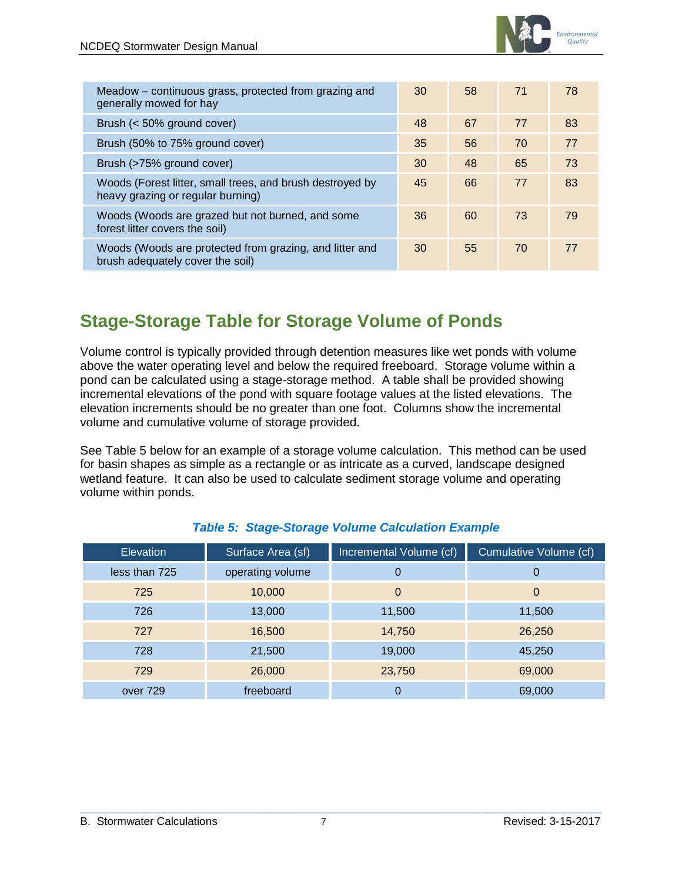

| Meadow - continuous grass, protected from grazing and<br>generally mowed for hay               | 30 | 58 | 71 | 78 |
|------------------------------------------------------------------------------------------------|----|----|----|----|
| Brush (< 50% ground cover)                                                                     | 48 | 67 | 77 | 83 |
| Brush (50% to 75% ground cover)                                                                | 35 | 56 | 70 | 77 |
| Brush (>75% ground cover)                                                                      | 30 | 48 | 65 | 73 |
| Woods (Forest litter, small trees, and brush destroyed by<br>heavy grazing or regular burning) | 45 | 66 | 77 | 83 |
| Woods (Woods are grazed but not burned, and some<br>forest litter covers the soil)             | 36 | 60 | 73 | 79 |
| Woods (Woods are protected from grazing, and litter and<br>brush adequately cover the soil)    | 30 | 55 | 70 | 77 |

### <span id="page-6-0"></span>**Stage-Storage Table for Storage Volume of Ponds**

Volume control is typically provided through detention measures like wet ponds with volume above the water operating level and below the required freeboard. Storage volume within a pond can be calculated using a stage-storage method. A table shall be provided showing incremental elevations of the pond with square footage values at the listed elevations. The elevation increments should be no greater than one foot. Columns show the incremental volume and cumulative volume of storage provided.

See Table 5 below for an example of a storage volume calculation. This method can be used for basin shapes as simple as a rectangle or as intricate as a curved, landscape designed wetland feature. It can also be used to calculate sediment storage volume and operating volume within ponds.

<span id="page-6-1"></span>

| <b>Elevation</b> | Surface Area (sf) | Incremental Volume (cf) | Cumulative Volume (cf) |
|------------------|-------------------|-------------------------|------------------------|
| less than 725    | operating volume  | 0                       | 0                      |
| 725              | 10,000            | 0                       | 0                      |
| 726              | 13,000            | 11,500                  | 11,500                 |
| 727              | 16,500            | 14,750                  | 26,250                 |
| 728              | 21,500            | 19,000                  | 45,250                 |
| 729              | 26,000            | 23,750                  | 69,000                 |
| over 729         | freeboard         | 0                       | 69,000                 |

#### *Table 5: Stage-Storage Volume Calculation Example*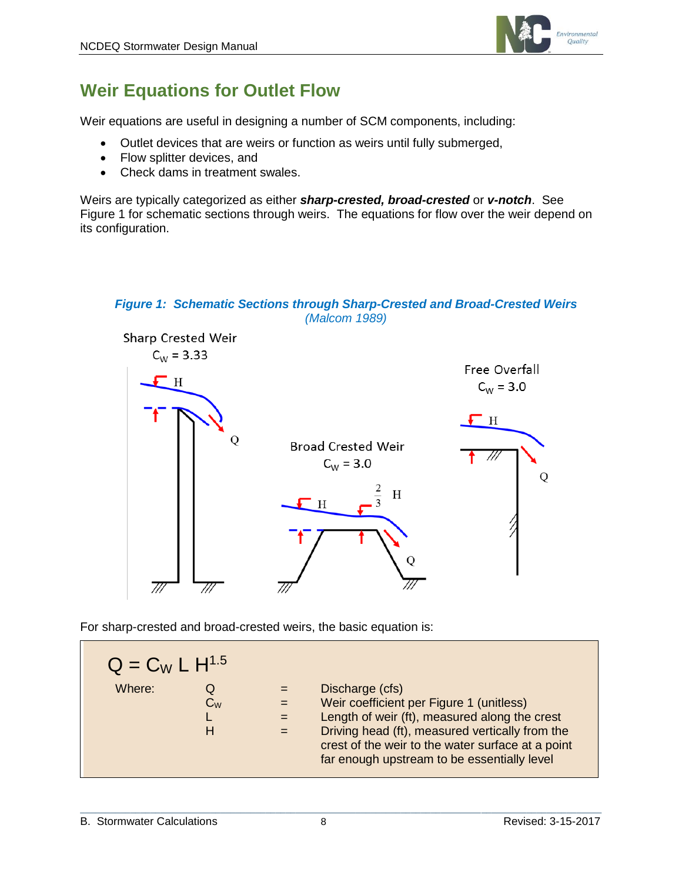

# **Weir Equations for Outlet Flow**

Weir equations are useful in designing a number of SCM components, including:

- Outlet devices that are weirs or function as weirs until fully submerged,
- Flow splitter devices, and
- Check dams in treatment swales.

Weirs are typically categorized as either *sharp-crested, broad-crested* or *v-notch*. See Figure 1 for schematic sections through weirs. The equations for flow over the weir depend on its configuration.

#### *Figure 1: Schematic Sections through Sharp-Crested and Broad-Crested Weirs (Malcom 1989)*



For sharp-crested and broad-crested weirs, the basic equation is:

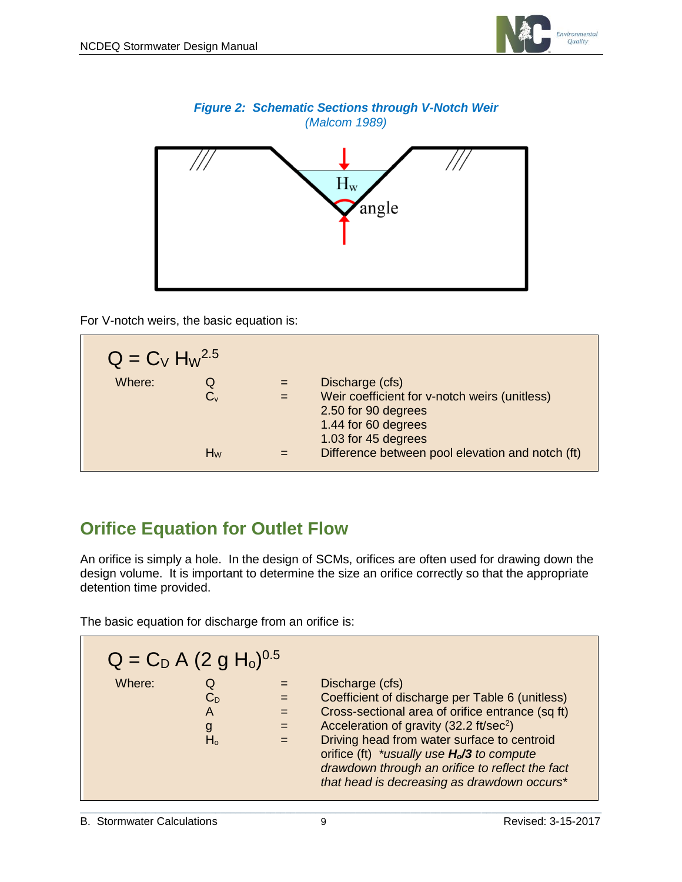





For V-notch weirs, the basic equation is:

| $Q = C_V H_W^{2.5}$ |         |                                                  |
|---------------------|---------|--------------------------------------------------|
| Where:              | Q       | Discharge (cfs)                                  |
|                     | $C_{v}$ | Weir coefficient for v-notch weirs (unitless)    |
|                     |         | 2.50 for 90 degrees                              |
|                     |         | 1.44 for 60 degrees                              |
|                     |         | 1.03 for 45 degrees                              |
|                     | $H_W$   | Difference between pool elevation and notch (ft) |

# <span id="page-8-0"></span>**Orifice Equation for Outlet Flow**

An orifice is simply a hole. In the design of SCMs, orifices are often used for drawing down the design volume. It is important to determine the size an orifice correctly so that the appropriate detention time provided.

The basic equation for discharge from an orifice is:

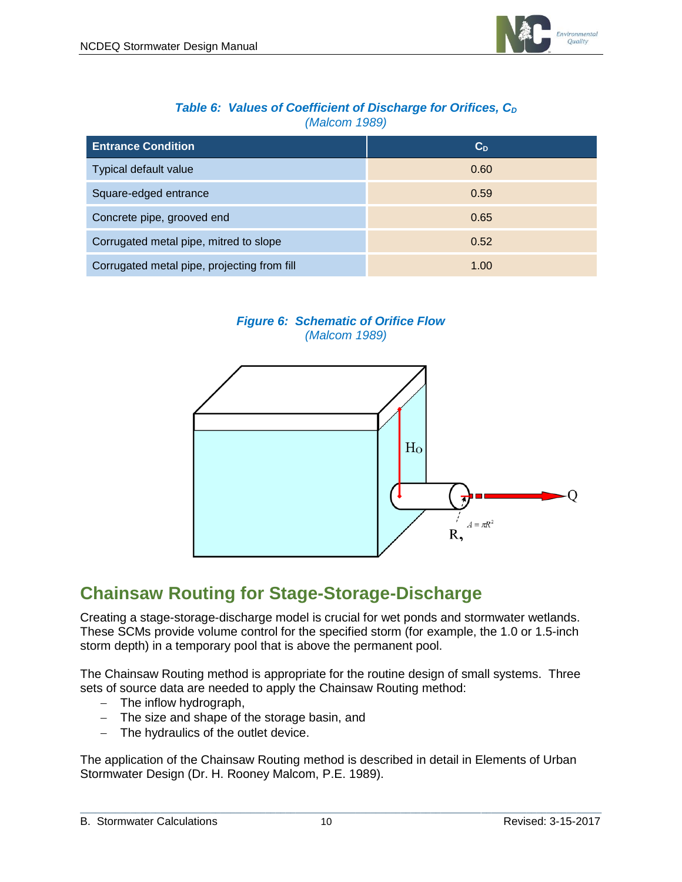

#### *Table 6: Values of Coefficient of Discharge for Orifices, C<sub>D</sub> (Malcom 1989)*

| <b>Entrance Condition</b>                   | $C_D$ |
|---------------------------------------------|-------|
| Typical default value                       | 0.60  |
| Square-edged entrance                       | 0.59  |
| Concrete pipe, grooved end                  | 0.65  |
| Corrugated metal pipe, mitred to slope      | 0.52  |
| Corrugated metal pipe, projecting from fill | 1.00  |

#### *Figure 6: Schematic of Orifice Flow (Malcom 1989)*



### <span id="page-9-0"></span>**Chainsaw Routing for Stage-Storage-Discharge**

Creating a stage-storage-discharge model is crucial for wet ponds and stormwater wetlands. These SCMs provide volume control for the specified storm (for example, the 1.0 or 1.5-inch storm depth) in a temporary pool that is above the permanent pool.

The Chainsaw Routing method is appropriate for the routine design of small systems. Three sets of source data are needed to apply the Chainsaw Routing method:

- The inflow hydrograph,
- The size and shape of the storage basin, and
- The hydraulics of the outlet device.

The application of the Chainsaw Routing method is described in detail in Elements of Urban Stormwater Design (Dr. H. Rooney Malcom, P.E. 1989).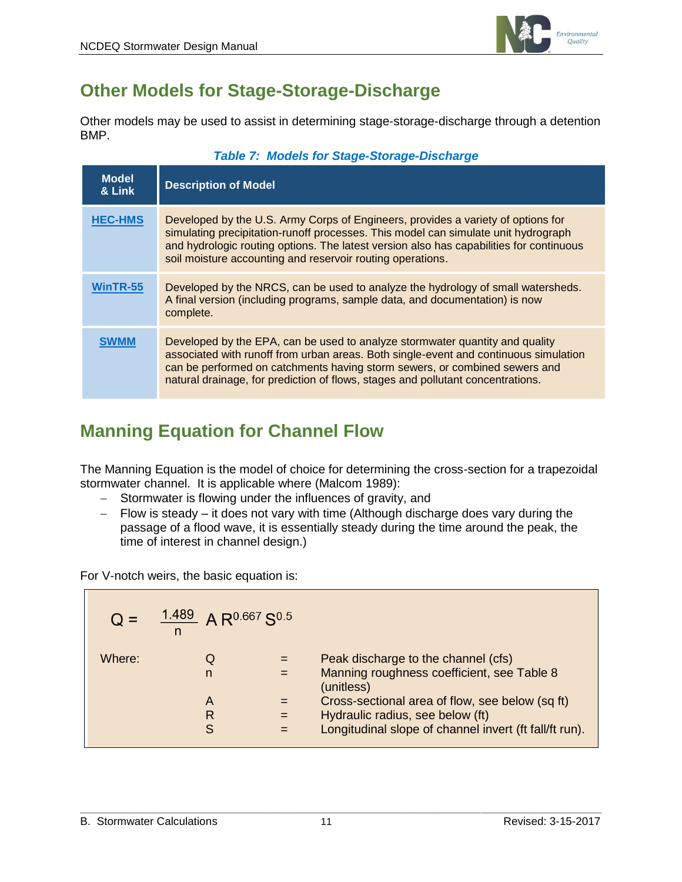

### <span id="page-10-0"></span>**Other Models for Stage-Storage-Discharge**

Other models may be used to assist in determining stage-storage-discharge through a detention BMP.

| <b>Model</b><br>& Link | <b>Description of Model</b>                                                                                                                                                                                                                                                                                                           |  |  |  |
|------------------------|---------------------------------------------------------------------------------------------------------------------------------------------------------------------------------------------------------------------------------------------------------------------------------------------------------------------------------------|--|--|--|
| <b>HEC-HMS</b>         | Developed by the U.S. Army Corps of Engineers, provides a variety of options for<br>simulating precipitation-runoff processes. This model can simulate unit hydrograph<br>and hydrologic routing options. The latest version also has capabilities for continuous<br>soil moisture accounting and reservoir routing operations.       |  |  |  |
| WinTR-55               | Developed by the NRCS, can be used to analyze the hydrology of small watersheds.<br>A final version (including programs, sample data, and documentation) is now<br>complete.                                                                                                                                                          |  |  |  |
|                        | Developed by the EPA, can be used to analyze stormwater quantity and quality<br>associated with runoff from urban areas. Both single-event and continuous simulation<br>can be performed on catchments having storm sewers, or combined sewers and<br>natural drainage, for prediction of flows, stages and pollutant concentrations. |  |  |  |

#### *Table 7: Models for Stage-Storage-Discharge*

# <span id="page-10-1"></span>**Manning Equation for Channel Flow**

The Manning Equation is the model of choice for determining the cross-section for a trapezoidal stormwater channel. It is applicable where (Malcom 1989):

- Stormwater is flowing under the influences of gravity, and
- Flow is steady it does not vary with time (Although discharge does vary during the passage of a flood wave, it is essentially steady during the time around the peak, the time of interest in channel design.)

For V-notch weirs, the basic equation is:

| $Q =$  | $1.489$ A R <sup>0.667</sup> S <sup>0.5</sup><br>n |                                                                                                                                               |
|--------|----------------------------------------------------|-----------------------------------------------------------------------------------------------------------------------------------------------|
| Where: | n                                                  | Peak discharge to the channel (cfs)<br>Manning roughness coefficient, see Table 8<br>(unitless)                                               |
|        | A<br>R<br>S                                        | Cross-sectional area of flow, see below (sq ft)<br>Hydraulic radius, see below (ft)<br>Longitudinal slope of channel invert (ft fall/ft run). |